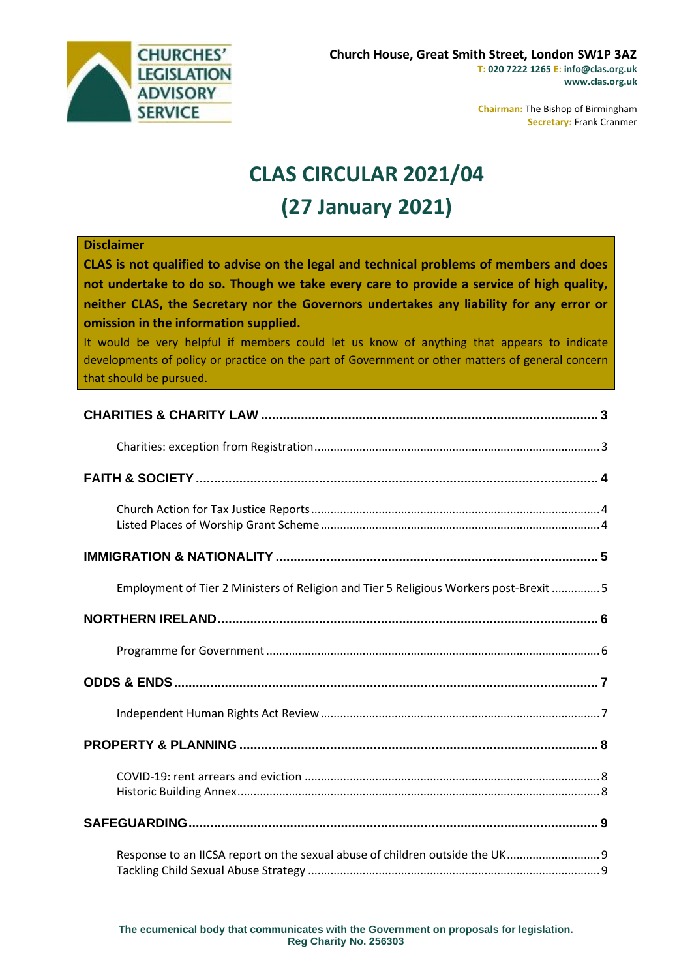

**Chairman:** The Bishop of Birmingham **Secretary:** Frank Cranmer

# **CLAS CIRCULAR 2021/04 (27 January 2021)**

#### **Disclaimer**

**CLAS is not qualified to advise on the legal and technical problems of members and does not undertake to do so. Though we take every care to provide a service of high quality, neither CLAS, the Secretary nor the Governors undertakes any liability for any error or omission in the information supplied.**

It would be very helpful if members could let us know of anything that appears to indicate developments of policy or practice on the part of Government or other matters of general concern that should be pursued.

| Employment of Tier 2 Ministers of Religion and Tier 5 Religious Workers post-Brexit  5 |
|----------------------------------------------------------------------------------------|
|                                                                                        |
|                                                                                        |
|                                                                                        |
|                                                                                        |
|                                                                                        |
|                                                                                        |
|                                                                                        |
| Response to an IICSA report on the sexual abuse of children outside the UK 9           |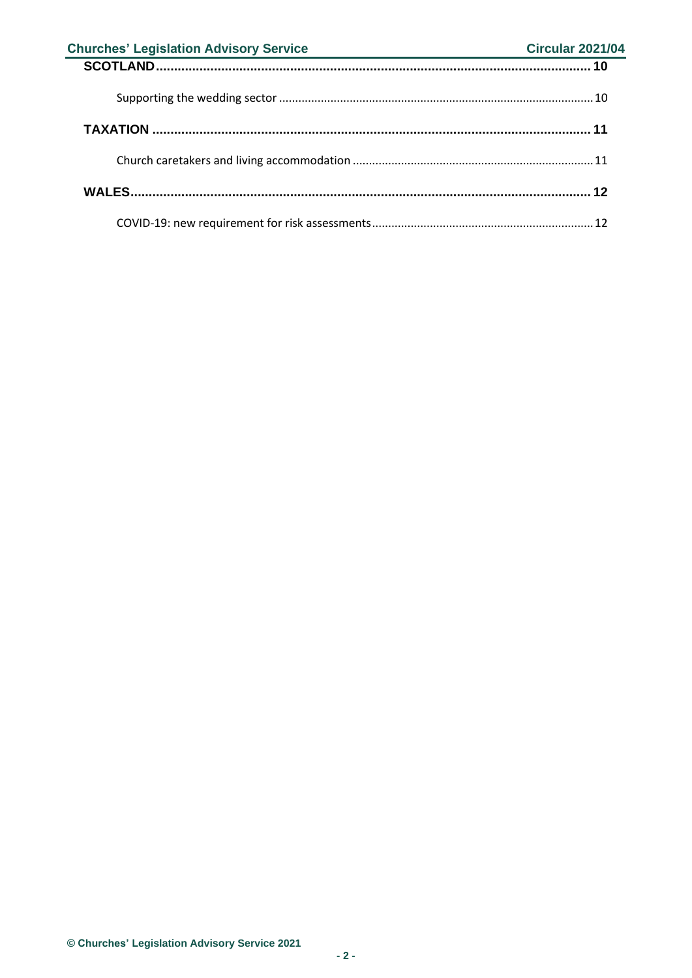| <b>Churches' Legislation Advisory Service</b><br><u> 1989 - Johann Barn, mars et al. (</u> | <b>Circular 2021/04</b> |
|--------------------------------------------------------------------------------------------|-------------------------|
|                                                                                            |                         |
|                                                                                            |                         |
|                                                                                            |                         |
|                                                                                            |                         |
|                                                                                            |                         |
|                                                                                            |                         |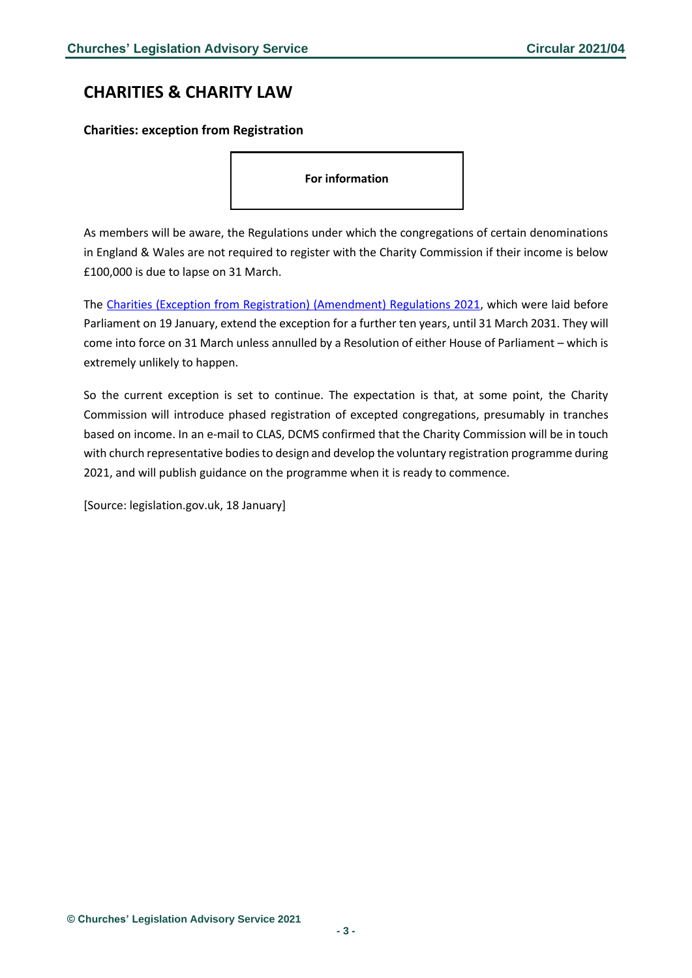### <span id="page-2-0"></span>**CHARITIES & CHARITY LAW**

#### <span id="page-2-1"></span>**Charities: exception from Registration**

**For information**

As members will be aware, the Regulations under which the congregations of certain denominations in England & Wales are not required to register with the Charity Commission if their income is below £100,000 is due to lapse on 31 March.

The [Charities \(Exception from Registration\) \(Amendment\) Regulations 2021,](https://www.legislation.gov.uk/uksi/2021/55/made) which were laid before Parliament on 19 January, extend the exception for a further ten years, until 31 March 2031. They will come into force on 31 March unless annulled by a Resolution of either House of Parliament – which is extremely unlikely to happen.

So the current exception is set to continue. The expectation is that, at some point, the Charity Commission will introduce phased registration of excepted congregations, presumably in tranches based on income. In an e-mail to CLAS, DCMS confirmed that the Charity Commission will be in touch with church representative bodies to design and develop the voluntary registration programme during 2021, and will publish guidance on the programme when it is ready to commence.

[Source: legislation.gov.uk, 18 January]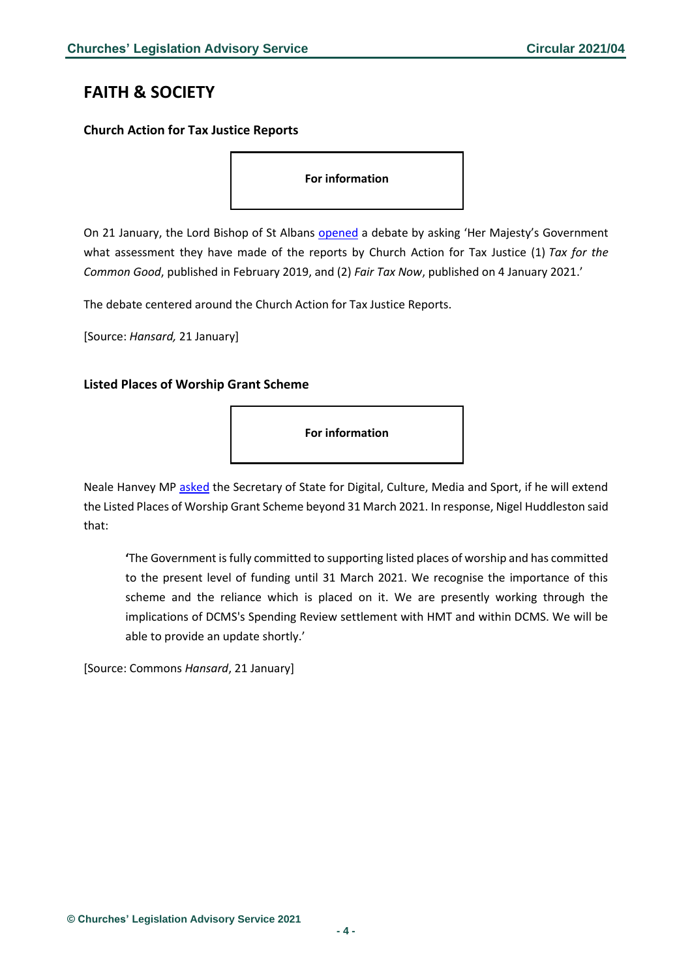# <span id="page-3-0"></span>**FAITH & SOCIETY**

#### <span id="page-3-1"></span>**Church Action for Tax Justice Reports**

**For information**

On 21 January, the Lord Bishop of St Albans [opened](https://hansard.parliament.uk/lords/2021-01-21/debates/A61149C1-8567-4FE7-B383-C4B54EA431EA/TaxChurchActionForTaxJusticeReports) a debate by asking 'Her Majesty's Government what assessment they have made of the reports by Church Action for Tax Justice (1) *Tax for the Common Good*, published in February 2019, and (2) *Fair Tax Now*, published on 4 January 2021.'

The debate centered around the Church Action for Tax Justice Reports.

[Source: *Hansard,* 21 January]

### <span id="page-3-2"></span>**Listed Places of Worship Grant Scheme**

**For information**

Neale Hanvey MP [asked](https://questions-statements.parliament.uk/written-questions/detail/2021-01-13/137326) the Secretary of State for Digital, Culture, Media and Sport, if he will extend the Listed Places of Worship Grant Scheme beyond 31 March 2021. In response, Nigel Huddleston said that:

**'**The Government is fully committed to supporting listed places of worship and has committed to the present level of funding until 31 March 2021. We recognise the importance of this scheme and the reliance which is placed on it. We are presently working through the implications of DCMS's Spending Review settlement with HMT and within DCMS. We will be able to provide an update shortly.'

[Source: Commons *Hansard*, 21 January]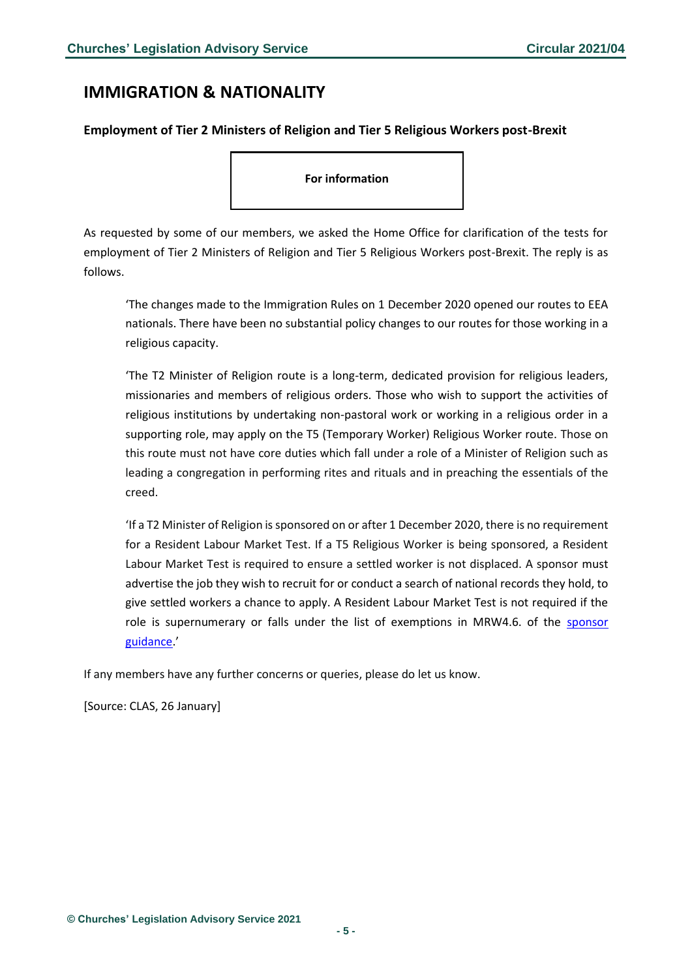### <span id="page-4-0"></span>**IMMIGRATION & NATIONALITY**

#### <span id="page-4-1"></span>**Employment of Tier 2 Ministers of Religion and Tier 5 Religious Workers post-Brexit**

**For information**

As requested by some of our members, we asked the Home Office for clarification of the tests for employment of Tier 2 Ministers of Religion and Tier 5 Religious Workers post-Brexit. The reply is as follows.

'The changes made to the Immigration Rules on 1 December 2020 opened our routes to EEA nationals. There have been no substantial policy changes to our routes for those working in a religious capacity.

'The T2 Minister of Religion route is a long-term, dedicated provision for religious leaders, missionaries and members of religious orders. Those who wish to support the activities of religious institutions by undertaking non-pastoral work or working in a religious order in a supporting role, may apply on the T5 (Temporary Worker) Religious Worker route. Those on this route must not have core duties which fall under a role of a Minister of Religion such as leading a congregation in performing rites and rituals and in preaching the essentials of the creed.

'If a T2 Minister of Religion is sponsored on or after 1 December 2020, there is no requirement for a Resident Labour Market Test. If a T5 Religious Worker is being sponsored, a Resident Labour Market Test is required to ensure a settled worker is not displaced. A sponsor must advertise the job they wish to recruit for or conduct a search of national records they hold, to give settled workers a chance to apply. A Resident Labour Market Test is not required if the role is supernumerary or falls under the list of exemptions in MRW4.6. of the [sponsor](https://assets.publishing.service.gov.uk/government/uploads/system/uploads/attachment_data/file/947100/2020-12-21_Sponsor-a-religious-worker-12-20_v1.0.pdf)  [guidance](https://assets.publishing.service.gov.uk/government/uploads/system/uploads/attachment_data/file/947100/2020-12-21_Sponsor-a-religious-worker-12-20_v1.0.pdf).'

If any members have any further concerns or queries, please do let us know.

[Source: CLAS, 26 January]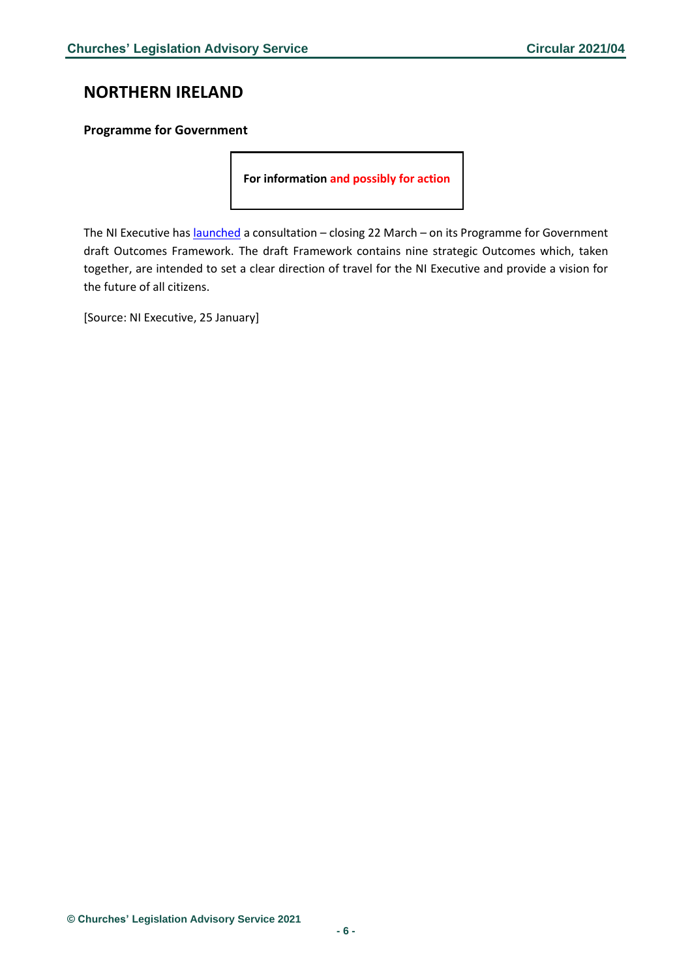## <span id="page-5-0"></span>**NORTHERN IRELAND**

#### <span id="page-5-1"></span>**Programme for Government**

**For information and possibly for action**

The NI Executive has **[launched](https://www.northernireland.gov.uk/programme-government-pfg)** a consultation – closing 22 March – on its Programme for Government draft Outcomes Framework. The draft Framework contains nine strategic Outcomes which, taken together, are intended to set a clear direction of travel for the NI Executive and provide a vision for the future of all citizens.

[Source: NI Executive, 25 January]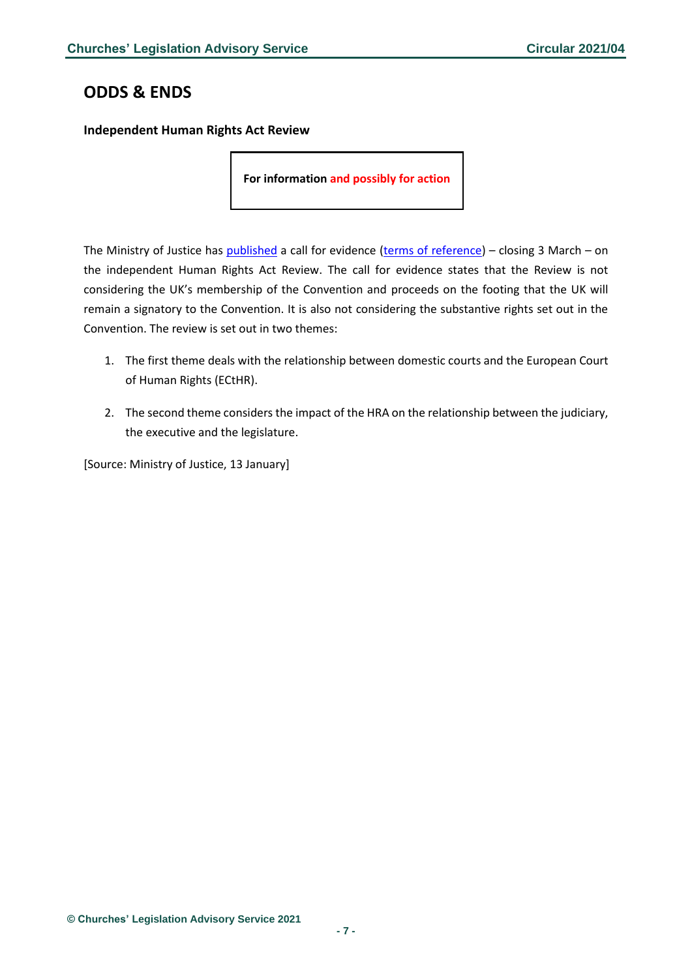# <span id="page-6-0"></span>**ODDS & ENDS**

<span id="page-6-1"></span>**Independent Human Rights Act Review**

**For information and possibly for action**

The Ministry of Justice has [published](https://assets.publishing.service.gov.uk/government/uploads/system/uploads/attachment_data/file/953348/ihrar-call-for-evdience.pdf) a call for evidence [\(terms of reference\)](https://assets.publishing.service.gov.uk/government/uploads/system/uploads/attachment_data/file/953347/human-rights-review-tor.pdf) – closing 3 March – on the independent Human Rights Act Review. The call for evidence states that the Review is not considering the UK's membership of the Convention and proceeds on the footing that the UK will remain a signatory to the Convention. It is also not considering the substantive rights set out in the Convention. The review is set out in two themes:

- 1. The first theme deals with the relationship between domestic courts and the European Court of Human Rights (ECtHR).
- 2. The second theme considers the impact of the HRA on the relationship between the judiciary, the executive and the legislature.

[Source: Ministry of Justice, 13 January]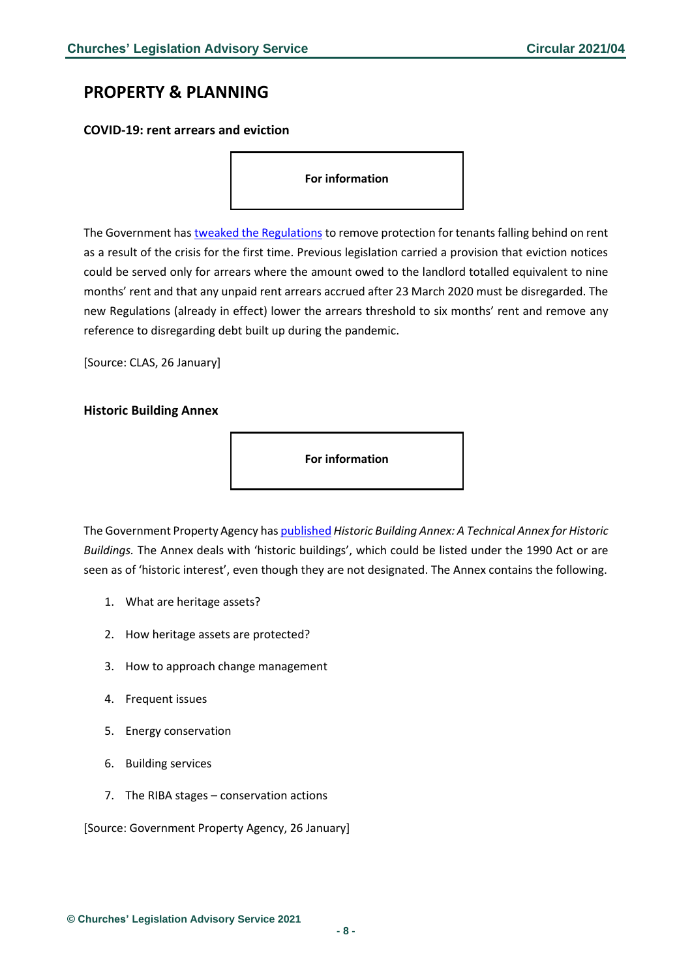# <span id="page-7-0"></span>**PROPERTY & PLANNING**

<span id="page-7-1"></span>**COVID-19: rent arrears and eviction**

**For information**

The Government has [tweaked the Regulations](https://www.legislation.gov.uk/uksi/2021/15/regulation/2/made#f00003) to remove protection for tenants falling behind on rent as a result of the crisis for the first time. Previous legislation carried a provision that eviction notices could be served only for arrears where the amount owed to the landlord totalled equivalent to nine months' rent and that any unpaid rent arrears accrued after 23 March 2020 must be disregarded. The new Regulations (already in effect) lower the arrears threshold to six months' rent and remove any reference to disregarding debt built up during the pandemic.

[Source: CLAS, 26 January]

#### <span id="page-7-2"></span>**Historic Building Annex**



The Government Property Agency ha[s published](https://assets.publishing.service.gov.uk/government/uploads/system/uploads/attachment_data/file/955556/The_Historic_Building_Annex.pdf) *Historic Building Annex: A Technical Annex for Historic Buildings.* The Annex deals with 'historic buildings', which could be listed under the 1990 Act or are seen as of 'historic interest', even though they are not designated. The Annex contains the following.

- 1. What are heritage assets?
- 2. How heritage assets are protected?
- 3. How to approach change management
- 4. Frequent issues
- 5. Energy conservation
- 6. Building services
- 7. The RIBA stages conservation actions

[Source: Government Property Agency, 26 January]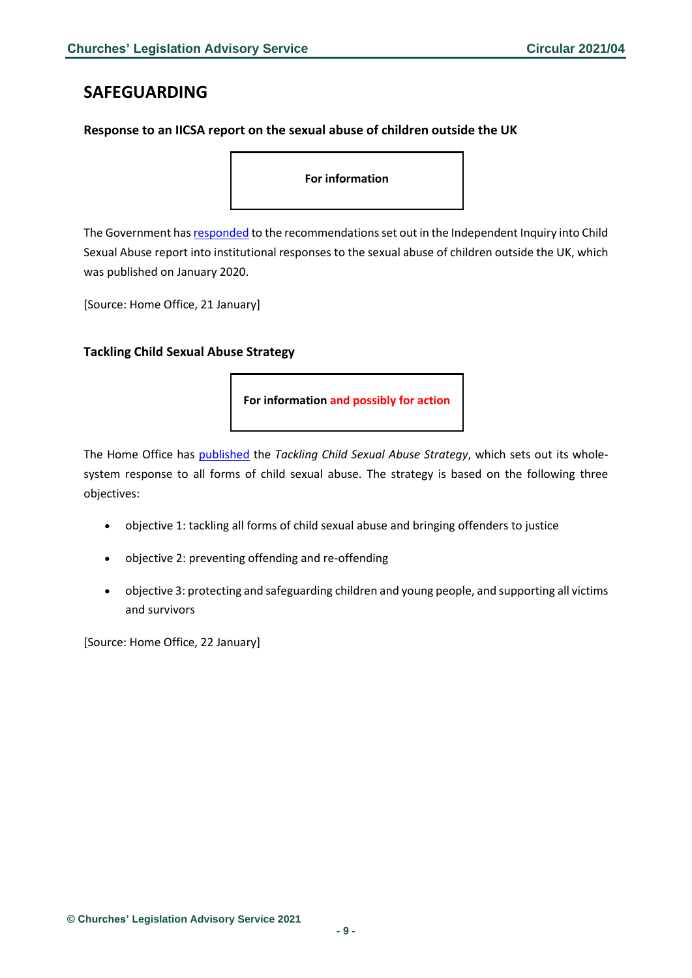### <span id="page-8-0"></span>**SAFEGUARDING**

#### <span id="page-8-1"></span>**Response to an IICSA report on the sexual abuse of children outside the UK**

**For information**

The Government ha[s responded](https://assets.publishing.service.gov.uk/government/uploads/system/uploads/attachment_data/file/953530/HMG_Response_to_IICSA_COUK_Report-final.pdf) to the recommendations set out in the Independent Inquiry into Child Sexual Abuse report into institutional responses to the sexual abuse of children outside the UK, which was published on January 2020.

[Source: Home Office, 21 January]

#### <span id="page-8-2"></span>**Tackling Child Sexual Abuse Strategy**

**For information and possibly for action**

The Home Office has [published](https://assets.publishing.service.gov.uk/government/uploads/system/uploads/attachment_data/file/954676/6.6378_HO_SOC_CSA_Report_Final_Web_3_.pdf) the *Tackling Child Sexual Abuse Strategy*, which sets out its wholesystem response to all forms of child sexual abuse. The strategy is based on the following three objectives:

- objective 1: tackling all forms of child sexual abuse and bringing offenders to justice
- objective 2: preventing offending and re-offending
- objective 3: protecting and safeguarding children and young people, and supporting all victims and survivors

[Source: Home Office, 22 January]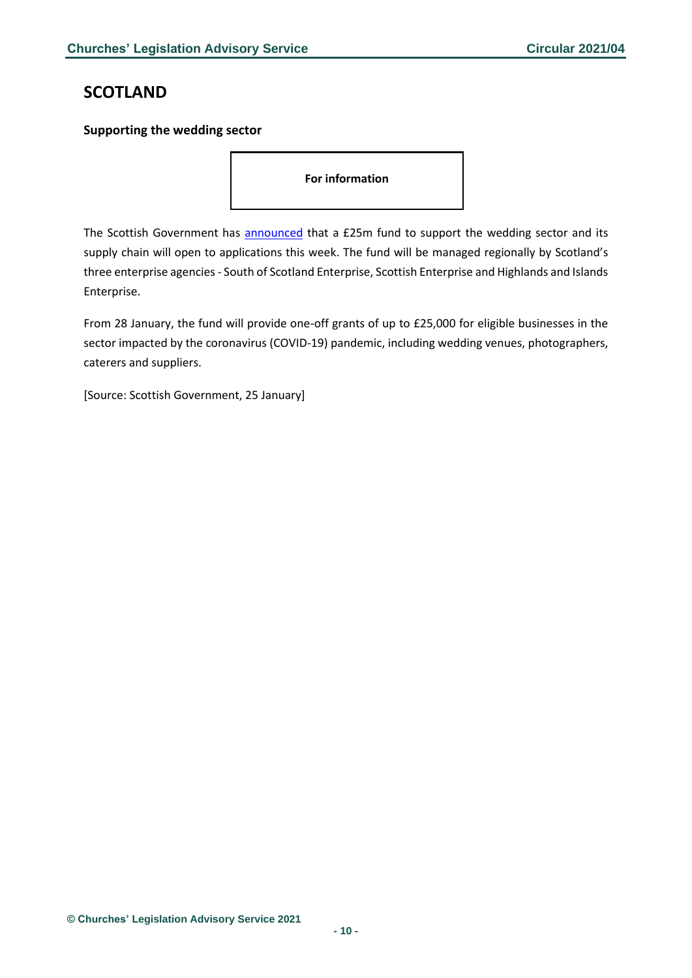# <span id="page-9-0"></span>**SCOTLAND**

#### <span id="page-9-1"></span>**Supporting the wedding sector**

**For information**

The Scottish Government has [announced](https://www.gov.scot/news/supporting-the-wedding-sector/) that a £25m fund to support the wedding sector and its supply chain will open to applications this week. The fund will be managed regionally by Scotland's three enterprise agencies - South of Scotland Enterprise, Scottish Enterprise and Highlands and Islands Enterprise.

From 28 January, the fund will provide one-off grants of up to £25,000 for eligible businesses in the sector impacted by the coronavirus (COVID-19) pandemic, including wedding venues, photographers, caterers and suppliers.

[Source: Scottish Government, 25 January]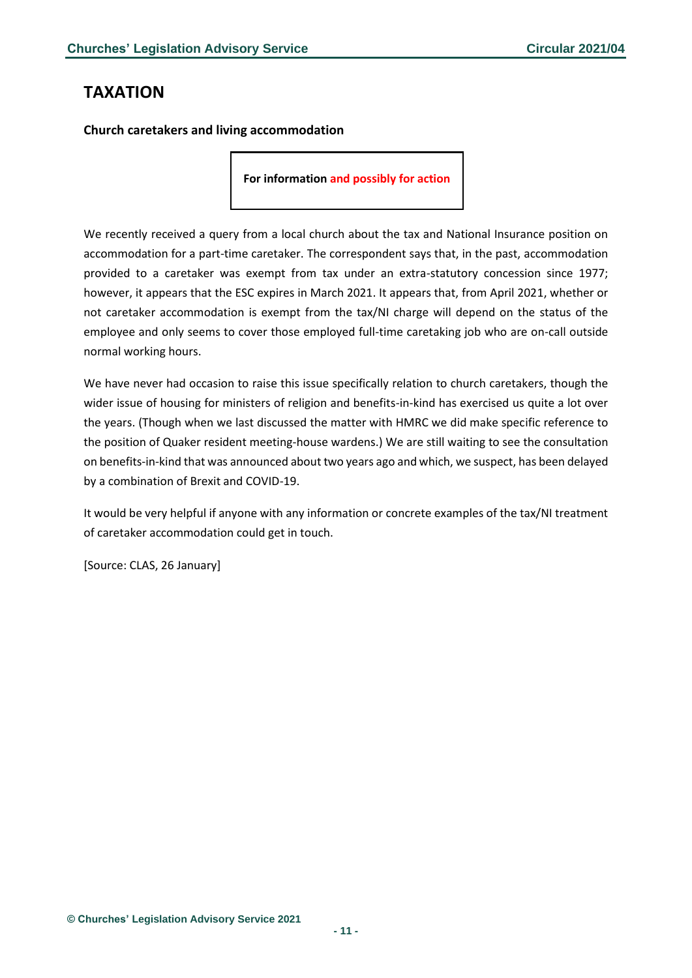# <span id="page-10-0"></span>**TAXATION**

<span id="page-10-1"></span>**Church caretakers and living accommodation**

**For information and possibly for action**

We recently received a query from a local church about the tax and National Insurance position on accommodation for a part-time caretaker. The correspondent says that, in the past, accommodation provided to a caretaker was exempt from tax under an extra-statutory concession since 1977; however, it appears that the ESC expires in March 2021. It appears that, from April 2021, whether or not caretaker accommodation is exempt from the tax/NI charge will depend on the status of the employee and only seems to cover those employed full-time caretaking job who are on-call outside normal working hours.

We have never had occasion to raise this issue specifically relation to church caretakers, though the wider issue of housing for ministers of religion and benefits-in-kind has exercised us quite a lot over the years. (Though when we last discussed the matter with HMRC we did make specific reference to the position of Quaker resident meeting-house wardens.) We are still waiting to see the consultation on benefits-in-kind that was announced about two years ago and which, we suspect, has been delayed by a combination of Brexit and COVID-19.

It would be very helpful if anyone with any information or concrete examples of the tax/NI treatment of caretaker accommodation could get in touch.

[Source: CLAS, 26 January]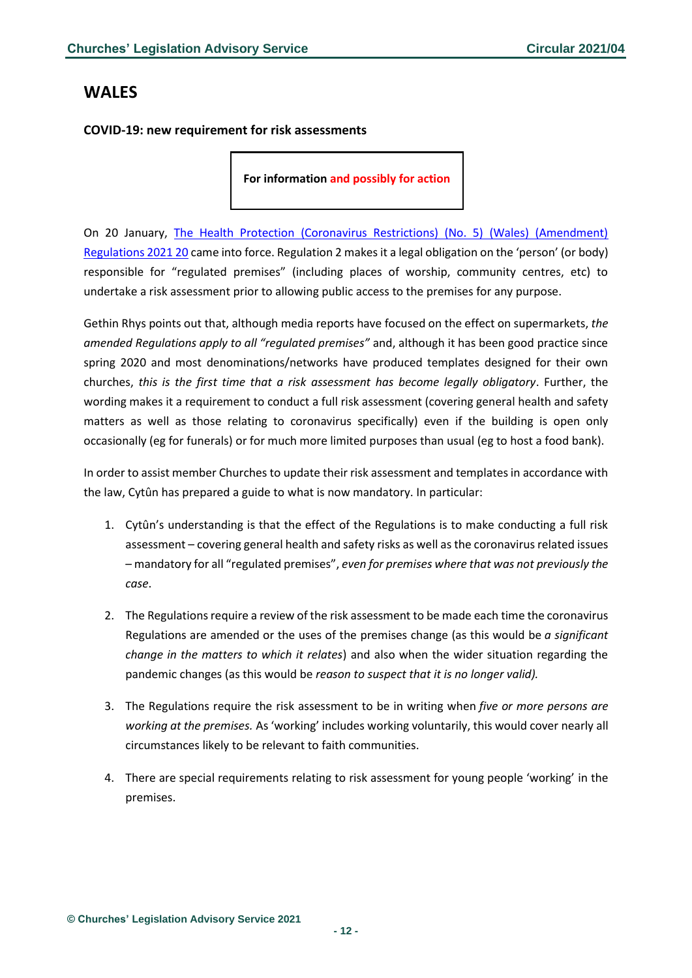### <span id="page-11-0"></span>**WALES**

#### <span id="page-11-1"></span>**COVID-19: new requirement for risk assessments**

**For information and possibly for action**

On 20 January, [The Health Protection \(Coronavirus Restrictions\) \(No. 5\) \(Wales\) \(Amendment\)](mailto:https://www.legislation.gov.uk/wsi/2021/57/regulation/1/made)  [Regulations 2021 20](mailto:https://www.legislation.gov.uk/wsi/2021/57/regulation/1/made) came into force. Regulation 2 makes it a legal obligation on the 'person' (or body) responsible for "regulated premises" (including places of worship, community centres, etc) to undertake a risk assessment prior to allowing public access to the premises for any purpose.

Gethin Rhys points out that, although media reports have focused on the effect on supermarkets, *the amended Regulations apply to all "regulated premises"* and, although it has been good practice since spring 2020 and most denominations/networks have produced templates designed for their own churches, *this is the first time that a risk assessment has become legally obligatory*. Further, the wording makes it a requirement to conduct a full risk assessment (covering general health and safety matters as well as those relating to coronavirus specifically) even if the building is open only occasionally (eg for funerals) or for much more limited purposes than usual (eg to host a food bank).

In order to assist member Churches to update their risk assessment and templates in accordance with the law, Cytûn has prepared a guide to what is now mandatory. In particular:

- 1. Cytûn's understanding is that the effect of the Regulations is to make conducting a full risk assessment – covering general health and safety risks as well as the coronavirus related issues – mandatory for all "regulated premises", *even for premises where that was not previously the case*.
- 2. The Regulations require a review of the risk assessment to be made each time the coronavirus Regulations are amended or the uses of the premises change (as this would be *a significant change in the matters to which it relates*) and also when the wider situation regarding the pandemic changes (as this would be *reason to suspect that it is no longer valid).*
- 3. The Regulations require the risk assessment to be in writing when *five or more persons are working at the premises.* As 'working' includes working voluntarily, this would cover nearly all circumstances likely to be relevant to faith communities.
- 4. There are special requirements relating to risk assessment for young people 'working' in the premises.